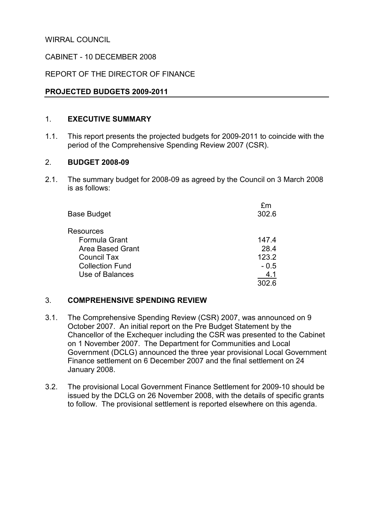WIRRAL COUNCIL

## CABINET - 10 DECEMBER 2008

## REPORT OF THE DIRECTOR OF FINANCE

## PROJECTED BUDGETS 2009-2011

#### 1. EXECUTIVE SUMMARY

1.1. This report presents the projected budgets for 2009-2011 to coincide with the period of the Comprehensive Spending Review 2007 (CSR).

## 2. BUDGET 2008-09

2.1. The summary budget for 2008-09 as agreed by the Council on 3 March 2008 is as follows:

| fm     |
|--------|
| 302.6  |
|        |
| 147.4  |
| 28.4   |
| 123.2  |
| $-0.5$ |
| 4.1    |
| 302.6  |
|        |

## 3. COMPREHENSIVE SPENDING REVIEW

- 3.1. The Comprehensive Spending Review (CSR) 2007, was announced on 9 October 2007. An initial report on the Pre Budget Statement by the Chancellor of the Exchequer including the CSR was presented to the Cabinet on 1 November 2007. The Department for Communities and Local Government (DCLG) announced the three year provisional Local Government Finance settlement on 6 December 2007 and the final settlement on 24 January 2008.
- 3.2. The provisional Local Government Finance Settlement for 2009-10 should be issued by the DCLG on 26 November 2008, with the details of specific grants to follow. The provisional settlement is reported elsewhere on this agenda.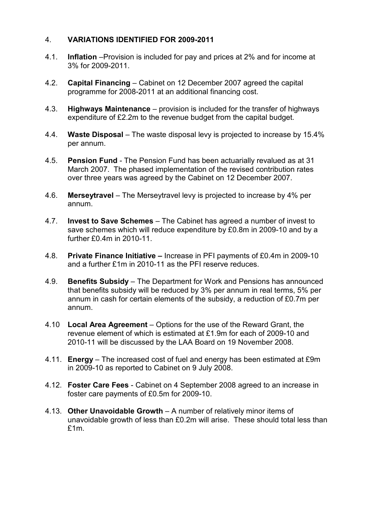## 4. VARIATIONS IDENTIFIED FOR 2009-2011

- 4.1. Inflation –Provision is included for pay and prices at 2% and for income at 3% for 2009-2011.
- 4.2. Capital Financing Cabinet on 12 December 2007 agreed the capital programme for 2008-2011 at an additional financing cost.
- 4.3. Highways Maintenance provision is included for the transfer of highways expenditure of £2.2m to the revenue budget from the capital budget.
- 4.4. Waste Disposal The waste disposal levy is projected to increase by 15.4% per annum.
- 4.5. Pension Fund The Pension Fund has been actuarially revalued as at 31 March 2007. The phased implementation of the revised contribution rates over three years was agreed by the Cabinet on 12 December 2007.
- 4.6. Merseytravel The Merseytravel levy is projected to increase by 4% per annum.
- 4.7. Invest to Save Schemes The Cabinet has agreed a number of invest to save schemes which will reduce expenditure by £0.8m in 2009-10 and by a further £0.4m in 2010-11.
- 4.8. Private Finance Initiative Increase in PFI payments of £0.4m in 2009-10 and a further £1m in 2010-11 as the PFI reserve reduces.
- 4.9. Benefits Subsidy The Department for Work and Pensions has announced that benefits subsidy will be reduced by 3% per annum in real terms, 5% per annum in cash for certain elements of the subsidy, a reduction of £0.7m per annum.
- 4.10 Local Area Agreement Options for the use of the Reward Grant, the revenue element of which is estimated at £1.9m for each of 2009-10 and 2010-11 will be discussed by the LAA Board on 19 November 2008.
- 4.11. Energy The increased cost of fuel and energy has been estimated at £9m in 2009-10 as reported to Cabinet on 9 July 2008.
- 4.12. Foster Care Fees Cabinet on 4 September 2008 agreed to an increase in foster care payments of £0.5m for 2009-10.
- 4.13. Other Unavoidable Growth A number of relatively minor items of unavoidable growth of less than £0.2m will arise. These should total less than £1m.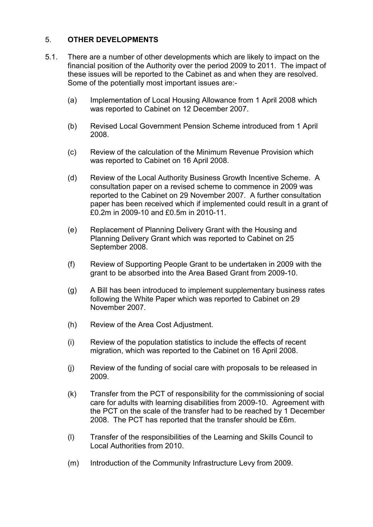## 5. OTHER DEVELOPMENTS

- 5.1. There are a number of other developments which are likely to impact on the financial position of the Authority over the period 2009 to 2011. The impact of these issues will be reported to the Cabinet as and when they are resolved. Some of the potentially most important issues are:-
	- (a) Implementation of Local Housing Allowance from 1 April 2008 which was reported to Cabinet on 12 December 2007.
	- (b) Revised Local Government Pension Scheme introduced from 1 April 2008.
	- (c) Review of the calculation of the Minimum Revenue Provision which was reported to Cabinet on 16 April 2008.
	- (d) Review of the Local Authority Business Growth Incentive Scheme. A consultation paper on a revised scheme to commence in 2009 was reported to the Cabinet on 29 November 2007. A further consultation paper has been received which if implemented could result in a grant of £0.2m in 2009-10 and £0.5m in 2010-11.
	- (e) Replacement of Planning Delivery Grant with the Housing and Planning Delivery Grant which was reported to Cabinet on 25 September 2008.
	- (f) Review of Supporting People Grant to be undertaken in 2009 with the grant to be absorbed into the Area Based Grant from 2009-10.
	- (g) A Bill has been introduced to implement supplementary business rates following the White Paper which was reported to Cabinet on 29 November 2007.
	- (h) Review of the Area Cost Adjustment.
	- (i) Review of the population statistics to include the effects of recent migration, which was reported to the Cabinet on 16 April 2008.
	- (j) Review of the funding of social care with proposals to be released in 2009.
	- (k) Transfer from the PCT of responsibility for the commissioning of social care for adults with learning disabilities from 2009-10. Agreement with the PCT on the scale of the transfer had to be reached by 1 December 2008. The PCT has reported that the transfer should be £6m.
	- (l) Transfer of the responsibilities of the Learning and Skills Council to Local Authorities from 2010.
	- (m) Introduction of the Community Infrastructure Levy from 2009.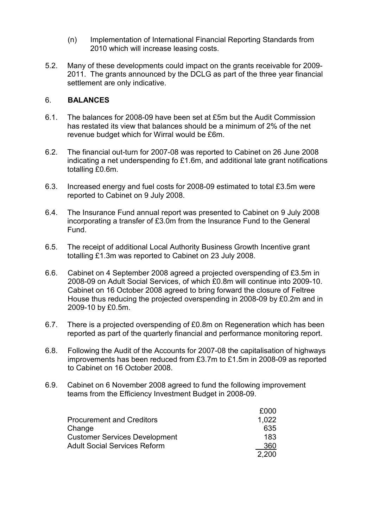- (n) Implementation of International Financial Reporting Standards from 2010 which will increase leasing costs.
- 5.2. Many of these developments could impact on the grants receivable for 2009- 2011. The grants announced by the DCLG as part of the three year financial settlement are only indicative.

## 6. BALANCES

- 6.1. The balances for 2008-09 have been set at £5m but the Audit Commission has restated its view that balances should be a minimum of 2% of the net revenue budget which for Wirral would be £6m.
- 6.2. The financial out-turn for 2007-08 was reported to Cabinet on 26 June 2008 indicating a net underspending fo £1.6m, and additional late grant notifications totalling £0.6m.
- 6.3. Increased energy and fuel costs for 2008-09 estimated to total £3.5m were reported to Cabinet on 9 July 2008.
- 6.4. The Insurance Fund annual report was presented to Cabinet on 9 July 2008 incorporating a transfer of £3.0m from the Insurance Fund to the General Fund.
- 6.5. The receipt of additional Local Authority Business Growth Incentive grant totalling £1.3m was reported to Cabinet on 23 July 2008.
- 6.6. Cabinet on 4 September 2008 agreed a projected overspending of £3.5m in 2008-09 on Adult Social Services, of which £0.8m will continue into 2009-10. Cabinet on 16 October 2008 agreed to bring forward the closure of Feltree House thus reducing the projected overspending in 2008-09 by £0.2m and in 2009-10 by £0.5m.
- 6.7. There is a projected overspending of £0.8m on Regeneration which has been reported as part of the quarterly financial and performance monitoring report.
- 6.8. Following the Audit of the Accounts for 2007-08 the capitalisation of highways improvements has been reduced from £3.7m to £1.5m in 2008-09 as reported to Cabinet on 16 October 2008.
- 6.9. Cabinet on 6 November 2008 agreed to fund the following improvement teams from the Efficiency Investment Budget in 2008-09.

|                                      | £000  |
|--------------------------------------|-------|
| <b>Procurement and Creditors</b>     | 1.022 |
| Change                               | 635   |
| <b>Customer Services Development</b> | 183   |
| <b>Adult Social Services Reform</b>  | 360   |
|                                      | 2.200 |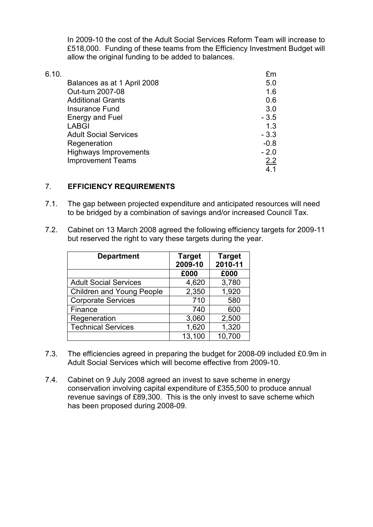In 2009-10 the cost of the Adult Social Services Reform Team will increase to £518,000. Funding of these teams from the Efficiency Investment Budget will allow the original funding to be added to balances.

| Balances as at 1 April 2008  | 5.0    |
|------------------------------|--------|
|                              |        |
| Out-turn 2007-08             | 1.6    |
| <b>Additional Grants</b>     | 0.6    |
| Insurance Fund               | 3.0    |
| <b>Energy and Fuel</b>       | $-3.5$ |
| <b>LABGI</b>                 | 1.3    |
| <b>Adult Social Services</b> | $-3.3$ |
| Regeneration                 | $-0.8$ |
| <b>Highways Improvements</b> | $-2.0$ |
| <b>Improvement Teams</b>     | 2.2    |
|                              | 4.1    |

## 7. EFFICIENCY REQUIREMENTS

- 7.1. The gap between projected expenditure and anticipated resources will need to be bridged by a combination of savings and/or increased Council Tax.
- 7.2. Cabinet on 13 March 2008 agreed the following efficiency targets for 2009-11 but reserved the right to vary these targets during the year.

| <b>Department</b>                | <b>Target</b><br>2009-10 | <b>Target</b><br>2010-11 |
|----------------------------------|--------------------------|--------------------------|
|                                  | £000                     | £000                     |
| <b>Adult Social Services</b>     | 4,620                    | 3,780                    |
| <b>Children and Young People</b> | 2,350                    | 1,920                    |
| <b>Corporate Services</b>        | 710                      | 580                      |
| Finance                          | 740                      | 600                      |
| Regeneration                     | 3,060                    | 2,500                    |
| <b>Technical Services</b>        | 1,620                    | 1,320                    |
|                                  | 13,100                   | 10,700                   |

- 7.3. The efficiencies agreed in preparing the budget for 2008-09 included £0.9m in Adult Social Services which will become effective from 2009-10.
- 7.4. Cabinet on 9 July 2008 agreed an invest to save scheme in energy conservation involving capital expenditure of £355,500 to produce annual revenue savings of £89,300. This is the only invest to save scheme which has been proposed during 2008-09.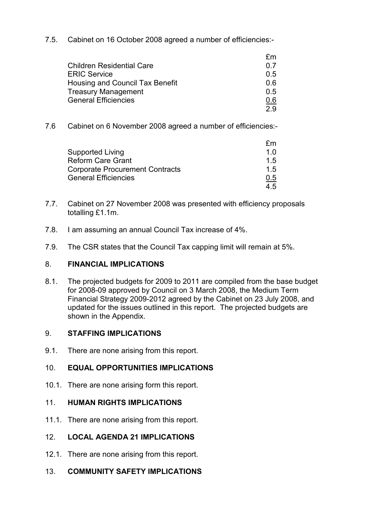7.5. Cabinet on 16 October 2008 agreed a number of efficiencies:-

| O 7 |
|-----|
| 05  |
| 0 6 |
| 05  |
| 0.6 |
| っぺ  |
|     |

7.6 Cabinet on 6 November 2008 agreed a number of efficiencies:-

|                                        | fm         |
|----------------------------------------|------------|
| Supported Living                       | 1 በ        |
| <b>Reform Care Grant</b>               | 15         |
| <b>Corporate Procurement Contracts</b> | 15         |
| <b>General Efficiencies</b>            | <u>0.5</u> |
|                                        | 45         |

- 7.7. Cabinet on 27 November 2008 was presented with efficiency proposals totalling £1.1m.
- 7.8. I am assuming an annual Council Tax increase of 4%.
- 7.9. The CSR states that the Council Tax capping limit will remain at 5%.

## 8. FINANCIAL IMPLICATIONS

8.1. The projected budgets for 2009 to 2011 are compiled from the base budget for 2008-09 approved by Council on 3 March 2008, the Medium Term Financial Strategy 2009-2012 agreed by the Cabinet on 23 July 2008, and updated for the issues outlined in this report. The projected budgets are shown in the Appendix.

## 9. STAFFING IMPLICATIONS

9.1. There are none arising from this report.

## 10. EQUAL OPPORTUNITIES IMPLICATIONS

10.1. There are none arising form this report.

#### 11. HUMAN RIGHTS IMPLICATIONS

11.1. There are none arising from this report.

## 12. LOCAL AGENDA 21 IMPLICATIONS

- 12.1. There are none arising from this report.
- 13. COMMUNITY SAFETY IMPLICATIONS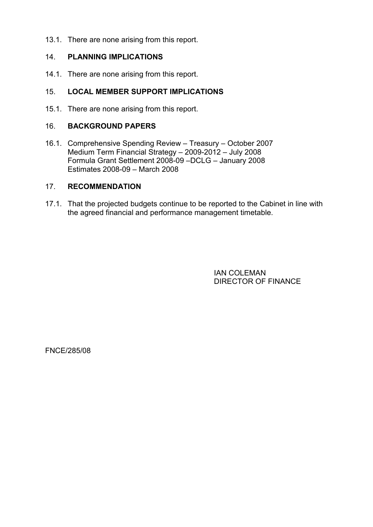13.1. There are none arising from this report.

## 14. PLANNING IMPLICATIONS

14.1. There are none arising from this report.

## 15. LOCAL MEMBER SUPPORT IMPLICATIONS

15.1. There are none arising from this report.

#### 16. BACKGROUND PAPERS

16.1. Comprehensive Spending Review – Treasury – October 2007 Medium Term Financial Strategy – 2009-2012 – July 2008 Formula Grant Settlement 2008-09 –DCLG – January 2008 Estimates 2008-09 – March 2008

## 17. RECOMMENDATION

17.1. That the projected budgets continue to be reported to the Cabinet in line with the agreed financial and performance management timetable.

> IAN COLEMAN DIRECTOR OF FINANCE

FNCE/285/08